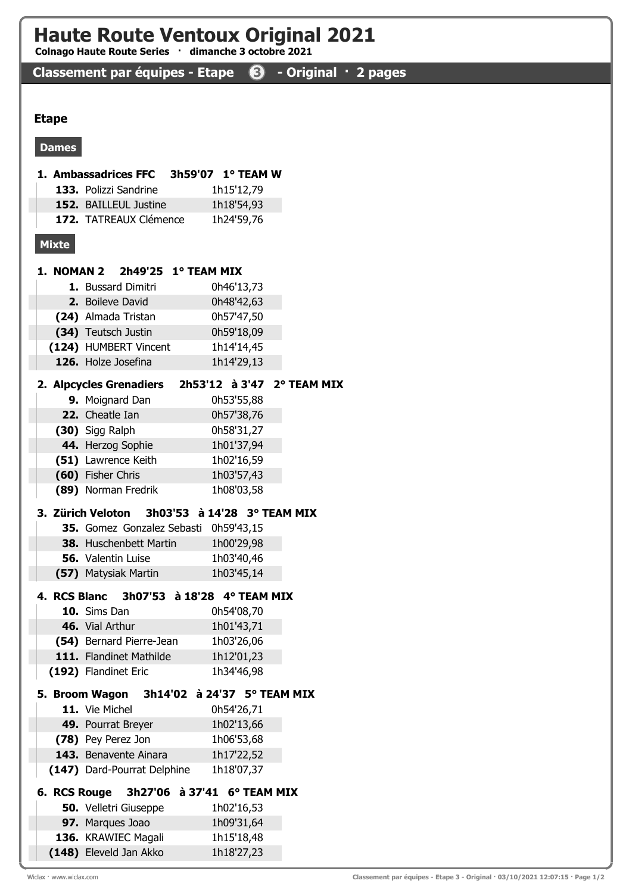# Haute Route Ventoux Original 2021

Colnago Haute Route Series · dimanche 3 octobre 2021

## Classement par équipes - Etape <sup>3</sup> - Original · 2 pages

#### Etape

#### Dames

|              | 1. Ambassadrices FFC                     |                       | 3h59'07 1° TEAM W           |  |
|--------------|------------------------------------------|-----------------------|-----------------------------|--|
|              | 133. Polizzi Sandrine                    |                       | 1h15'12,79                  |  |
|              | 152. BAILLEUL Justine                    |                       | 1h18'54,93                  |  |
|              | 172. TATREAUX Clémence                   |                       | 1h24'59,76                  |  |
| <b>Mixte</b> |                                          |                       |                             |  |
|              | 1. NOMAN 2                               | $2h49'25$ 1° TEAM MIX |                             |  |
|              | 1. Bussard Dimitri                       |                       | 0h46'13,73                  |  |
|              | 2. Boileve David                         |                       | 0h48'42,63                  |  |
|              | (24) Almada Tristan                      |                       | 0h57'47,50                  |  |
|              | (34) Teutsch Justin                      |                       | 0h59'18,09                  |  |
|              | (124) HUMBERT Vincent                    |                       | 1h14'14,45                  |  |
|              | 126. Holze Josefina                      |                       | 1h14'29,13                  |  |
|              |                                          |                       |                             |  |
|              | 2. Alpcycles Grenadiers                  |                       | 2h53'12 à 3'47 2° TEAM MIX  |  |
|              | 9. Moignard Dan                          |                       | 0h53'55,88                  |  |
|              | 22. Cheatle Ian                          |                       | 0h57'38,76                  |  |
|              | (30) Sigg Ralph                          |                       | 0h58'31,27                  |  |
|              | 44. Herzog Sophie                        |                       | 1h01'37,94                  |  |
|              | (51) Lawrence Keith                      |                       | 1h02'16,59                  |  |
|              | (60) Fisher Chris                        |                       | 1h03'57,43                  |  |
|              | (89) Norman Fredrik                      |                       | 1h08'03,58                  |  |
|              | 3. Zürich Veloton                        |                       | 3h03'53 à 14'28 3° TEAM MIX |  |
|              | 35. Gomez Gonzalez Sebasti               |                       | 0h59'43,15                  |  |
|              | 38. Huschenbett Martin                   |                       | 1h00'29,98                  |  |
|              | <b>56.</b> Valentin Luise                |                       | 1h03'40,46                  |  |
|              | (57) Matysiak Martin                     |                       | 1h03'45,14                  |  |
|              |                                          |                       |                             |  |
|              | 4. RCS Blanc 3h07'53 à 18'28 4° TEAM MIX |                       |                             |  |
|              | 10. Sims Dan                             |                       | 0h54'08,70                  |  |
|              | 46. Vial Arthur                          |                       | 1h01'43,71                  |  |
|              | (54) Bernard Pierre-Jean                 |                       | 1h03'26,06                  |  |
|              | 111. Flandinet Mathilde                  |                       | 1h12'01,23                  |  |
|              | (192) Flandinet Eric                     |                       | 1h34'46,98                  |  |
|              | 5. Broom Wagon                           |                       | 3h14'02 à 24'37 5° TEAM MIX |  |
|              | 11. Vie Michel                           |                       | 0h54'26,71                  |  |
|              | 49. Pourrat Breyer                       |                       | 1h02'13,66                  |  |
|              | (78) Pey Perez Jon                       |                       | 1h06'53,68                  |  |
|              | 143. Benavente Ainara                    |                       | 1h17'22,52                  |  |
|              | (147) Dard-Pourrat Delphine              |                       | 1h18'07,37                  |  |
|              | 6. RCS Rouge                             | 3h27'06 à 37'41       | 6° TEAM MIX                 |  |
|              | <b>50.</b> Velletri Giuseppe             |                       | 1h02'16,53                  |  |
|              | 97. Marques Joao                         |                       | 1h09'31,64                  |  |
|              | 136. KRAWIEC Magali                      |                       | 1h15'18,48                  |  |
|              | (148) Eleveld Jan Akko                   |                       | 1h18'27,23                  |  |